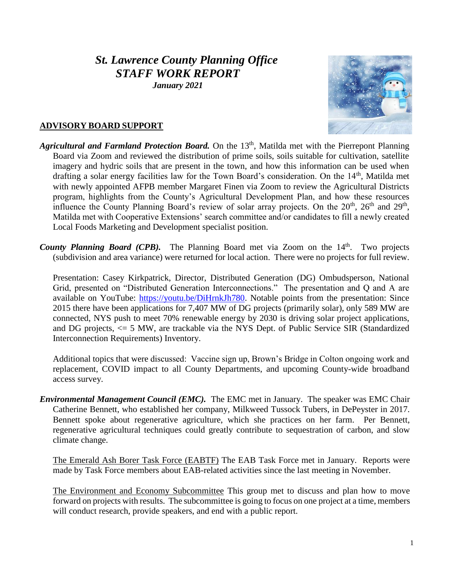# *St. Lawrence County Planning Office STAFF WORK REPORT*

*January 2021*



#### **ADVISORY BOARD SUPPORT**

- *Agricultural and Farmland Protection Board.* On the 13<sup>th</sup>, Matilda met with the Pierrepont Planning Board via Zoom and reviewed the distribution of prime soils, soils suitable for cultivation, satellite imagery and hydric soils that are present in the town, and how this information can be used when drafting a solar energy facilities law for the Town Board's consideration. On the 14<sup>th</sup>, Matilda met with newly appointed AFPB member Margaret Finen via Zoom to review the Agricultural Districts program, highlights from the County's Agricultural Development Plan, and how these resources influence the County Planning Board's review of solar array projects. On the 20<sup>th</sup>, 26<sup>th</sup> and 29<sup>th</sup>, Matilda met with Cooperative Extensions' search committee and/or candidates to fill a newly created Local Foods Marketing and Development specialist position.
- County Planning Board (CPB). The Planning Board met via Zoom on the 14<sup>th</sup>. Two projects (subdivision and area variance) were returned for local action. There were no projects for full review.

Presentation: Casey Kirkpatrick, Director, Distributed Generation (DG) Ombudsperson, National Grid, presented on "Distributed Generation Interconnections." The presentation and Q and A are available on YouTube: [https://youtu.be/DiHrnkJh780.](https://youtu.be/DiHrnkJh780) Notable points from the presentation: Since 2015 there have been applications for 7,407 MW of DG projects (primarily solar), only 589 MW are connected, NYS push to meet 70% renewable energy by 2030 is driving solar project applications, and DG projects, <= 5 MW, are trackable via the NYS Dept. of Public Service SIR (Standardized Interconnection Requirements) Inventory.

Additional topics that were discussed: Vaccine sign up, Brown's Bridge in Colton ongoing work and replacement, COVID impact to all County Departments, and upcoming County-wide broadband access survey.

*Environmental Management Council (EMC).* The EMC met in January. The speaker was EMC Chair Catherine Bennett, who established her company, Milkweed Tussock Tubers, in DePeyster in 2017. Bennett spoke about regenerative agriculture, which she practices on her farm. Per Bennett, regenerative agricultural techniques could greatly contribute to sequestration of carbon, and slow climate change.

The Emerald Ash Borer Task Force (EABTF) The EAB Task Force met in January. Reports were made by Task Force members about EAB-related activities since the last meeting in November.

The Environment and Economy Subcommittee This group met to discuss and plan how to move forward on projects with results. The subcommittee is going to focus on one project at a time, members will conduct research, provide speakers, and end with a public report.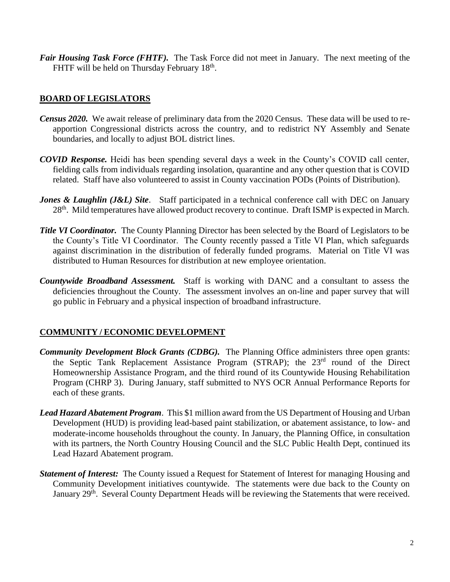*Fair Housing Task Force (FHTF).* The Task Force did not meet in January. The next meeting of the FHTF will be held on Thursday February 18<sup>th</sup>.

#### **BOARD OF LEGISLATORS**

- *Census 2020.* We await release of preliminary data from the 2020 Census. These data will be used to reapportion Congressional districts across the country, and to redistrict NY Assembly and Senate boundaries, and locally to adjust BOL district lines.
- *COVID Response.* Heidi has been spending several days a week in the County's COVID call center, fielding calls from individuals regarding insolation, quarantine and any other question that is COVID related. Staff have also volunteered to assist in County vaccination PODs (Points of Distribution).
- *Jones & Laughlin (J&L) Site.* Staff participated in a technical conference call with DEC on January 28<sup>th</sup>. Mild temperatures have allowed product recovery to continue. Draft ISMP is expected in March.
- *Title VI Coordinator.* The County Planning Director has been selected by the Board of Legislators to be the County's Title VI Coordinator. The County recently passed a Title VI Plan, which safeguards against discrimination in the distribution of federally funded programs. Material on Title VI was distributed to Human Resources for distribution at new employee orientation.
- *Countywide Broadband Assessment.* Staff is working with DANC and a consultant to assess the deficiencies throughout the County. The assessment involves an on-line and paper survey that will go public in February and a physical inspection of broadband infrastructure.

#### **COMMUNITY / ECONOMIC DEVELOPMENT**

- *Community Development Block Grants (CDBG).* The Planning Office administers three open grants: the Septic Tank Replacement Assistance Program (STRAP); the 23<sup>rd</sup> round of the Direct Homeownership Assistance Program, and the third round of its Countywide Housing Rehabilitation Program (CHRP 3). During January, staff submitted to NYS OCR Annual Performance Reports for each of these grants.
- *Lead Hazard Abatement Program*. This \$1 million award from the US Department of Housing and Urban Development (HUD) is providing lead-based paint stabilization, or abatement assistance, to low- and moderate-income households throughout the county. In January, the Planning Office, in consultation with its partners, the North Country Housing Council and the SLC Public Health Dept, continued its Lead Hazard Abatement program.
- *Statement of Interest:* The County issued a Request for Statement of Interest for managing Housing and Community Development initiatives countywide. The statements were due back to the County on January 29<sup>th</sup>. Several County Department Heads will be reviewing the Statements that were received.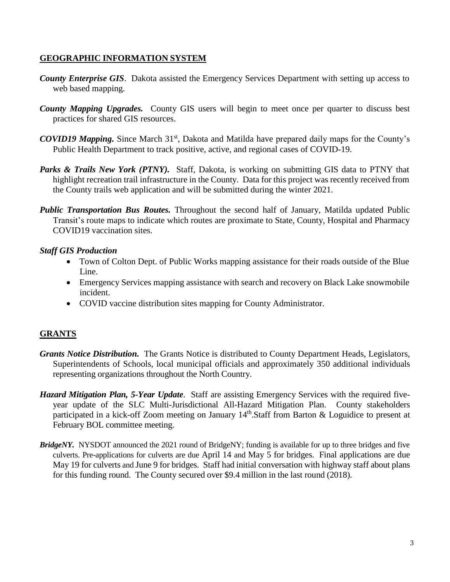## **GEOGRAPHIC INFORMATION SYSTEM**

- *County Enterprise GIS*. Dakota assisted the Emergency Services Department with setting up access to web based mapping.
- *County Mapping Upgrades.* County GIS users will begin to meet once per quarter to discuss best practices for shared GIS resources.
- *COVID19 Mapping.* Since March 31<sup>st</sup>, Dakota and Matilda have prepared daily maps for the County's Public Health Department to track positive, active, and regional cases of COVID-19.
- Parks & Trails New York (PTNY). Staff, Dakota, is working on submitting GIS data to PTNY that highlight recreation trail infrastructure in the County. Data for this project was recently received from the County trails web application and will be submitted during the winter 2021.
- *Public Transportation Bus Routes.* Throughout the second half of January, Matilda updated Public Transit's route maps to indicate which routes are proximate to State, County, Hospital and Pharmacy COVID19 vaccination sites.

## *Staff GIS Production*

- Town of Colton Dept. of Public Works mapping assistance for their roads outside of the Blue Line.
- Emergency Services mapping assistance with search and recovery on Black Lake snowmobile incident.
- COVID vaccine distribution sites mapping for County Administrator.

# **GRANTS**

- *Grants Notice Distribution.* The Grants Notice is distributed to County Department Heads, Legislators, Superintendents of Schools, local municipal officials and approximately 350 additional individuals representing organizations throughout the North Country.
- *Hazard Mitigation Plan, 5-Year Update*. Staff are assisting Emergency Services with the required fiveyear update of the SLC Multi-Jurisdictional All-Hazard Mitigation Plan. County stakeholders participated in a kick-off Zoom meeting on January 14<sup>th</sup>.Staff from Barton & Loguidice to present at February BOL committee meeting.
- *BridgeNY.* NYSDOT announced the 2021 round of BridgeNY; funding is available for up to three bridges and five culverts. Pre-applications for culverts are due April 14 and May 5 for bridges. Final applications are due May 19 for culverts and June 9 for bridges. Staff had initial conversation with highway staff about plans for this funding round. The County secured over \$9.4 million in the last round (2018).